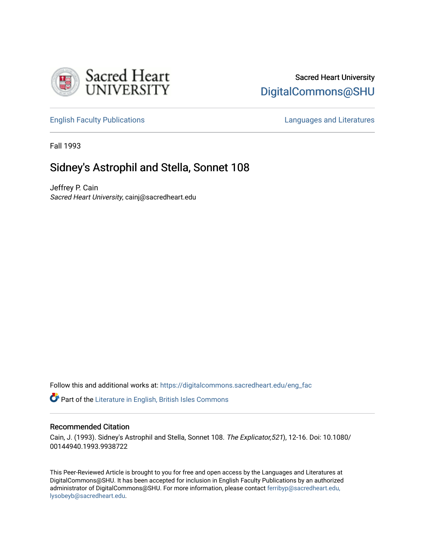

# Sacred Heart University [DigitalCommons@SHU](https://digitalcommons.sacredheart.edu/)

[English Faculty Publications](https://digitalcommons.sacredheart.edu/eng_fac) [Languages and Literatures](https://digitalcommons.sacredheart.edu/lang_lit) 

Fall 1993

# Sidney's Astrophil and Stella, Sonnet 108

Jeffrey P. Cain Sacred Heart University, cainj@sacredheart.edu

Follow this and additional works at: [https://digitalcommons.sacredheart.edu/eng\\_fac](https://digitalcommons.sacredheart.edu/eng_fac?utm_source=digitalcommons.sacredheart.edu%2Feng_fac%2F60&utm_medium=PDF&utm_campaign=PDFCoverPages)

**Part of the [Literature in English, British Isles Commons](http://network.bepress.com/hgg/discipline/456?utm_source=digitalcommons.sacredheart.edu%2Feng_fac%2F60&utm_medium=PDF&utm_campaign=PDFCoverPages)** 

## Recommended Citation

Cain, J. (1993). Sidney's Astrophil and Stella, Sonnet 108. The Explicator,521), 12-16. Doi: 10.1080/ 00144940.1993.9938722

This Peer-Reviewed Article is brought to you for free and open access by the Languages and Literatures at DigitalCommons@SHU. It has been accepted for inclusion in English Faculty Publications by an authorized administrator of DigitalCommons@SHU. For more information, please contact [ferribyp@sacredheart.edu,](mailto:ferribyp@sacredheart.edu,%20lysobeyb@sacredheart.edu) [lysobeyb@sacredheart.edu](mailto:ferribyp@sacredheart.edu,%20lysobeyb@sacredheart.edu).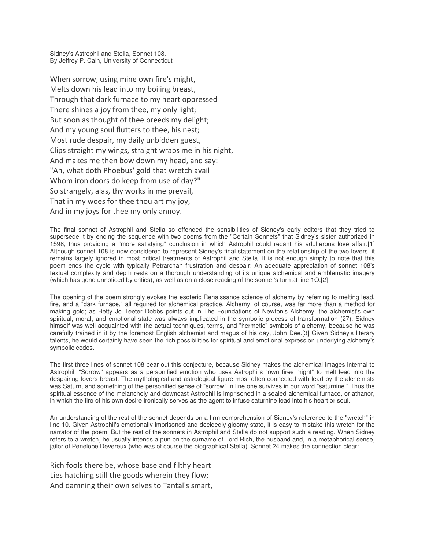Sidney's Astrophil and Stella, Sonnet 108. By Jeffrey P. Cain, University of Connecticut

When sorrow, using mine own fire's might, Melts down his lead into my boiling breast, Through that dark furnace to my heart oppressed There shines a joy from thee, my only light; But soon as thought of thee breeds my delight; And my young soul flutters to thee, his nest; Most rude despair, my daily unbidden guest, Clips straight my wings, straight wraps me in his night, And makes me then bow down my head, and say: "Ah, what doth Phoebus' gold that wretch avail Whom iron doors do keep from use of day?" So strangely, alas, thy works in me prevail, That in my woes for thee thou art my joy, And in my joys for thee my only annoy.

The final sonnet of Astrophil and Stella so offended the sensibilities of Sidney's early editors that they tried to supersede it by ending the sequence with two poems from the "Certain Sonnets" that Sidney's sister authorized in 1598, thus providing a "more satisfying" conclusion in which Astrophil could recant his adulterous love affair.[1] Although sonnet 108 is now considered to represent Sidney's final statement on the relationship of the two lovers, it remains largely ignored in most critical treatments of Astrophil and Stella. It is not enough simply to note that this poem ends the cycle with typically Petrarchan frustration and despair: An adequate appreciation of sonnet 108's textual complexity and depth rests on a thorough understanding of its unique alchemical and emblematic imagery (which has gone unnoticed by critics), as well as on a close reading of the sonnet's turn at line 1O.[2]

The opening of the poem strongly evokes the esoteric Renaissance science of alchemy by referring to melting lead, fire, and a "dark furnace," all required for alchemical practice. Alchemy, of course, was far more than a method for making gold; as Betty Jo Teeter Dobbs points out in The Foundations of Newton's Alchemy, the alchemist's own spiritual, moral, and emotional state was always implicated in the symbolic process of transformation (27). Sidney himself was well acquainted with the actual techniques, terms, and "hermetic" symbols of alchemy, because he was carefully trained in it by the foremost English alchemist and magus of his day, John Dee.[3] Given Sidney's literary talents, he would certainly have seen the rich possibilities for spiritual and emotional expression underlying alchemy's symbolic codes.

The first three lines of sonnet 108 bear out this conjecture, because Sidney makes the alchemical images internal to Astrophil. "Sorrow" appears as a personified emotion who uses Astrophil's "own fires might" to melt lead into the despairing lovers breast. The mythological and astrological figure most often connected with lead by the alchemists was Saturn, and something of the personified sense of "sorrow" in line one survives in our word "saturnine." Thus the spiritual essence of the melancholy and downcast Astrophil is imprisoned in a sealed alchemical furnace, or athanor, in which the fire of his own desire ironically serves as the agent to infuse saturnine lead into his heart or soul.

An understanding of the rest of the sonnet depends on a firm comprehension of Sidney's reference to the "wretch" in line 10. Given Astrophil's emotionally imprisoned and decidedly gloomy state, it is easy to mistake this wretch for the narrator of the poem, But the rest of the sonnets in Astrophil and Stella do not support such a reading. When Sidney refers to a wretch, he usually intends a pun on the surname of Lord Rich, the husband and, in a metaphorical sense, jailor of Penelope Devereux (who was of course the biographical Stella). Sonnet 24 makes the connection clear:

Rich fools there be, whose base and filthy heart Lies hatching still the goods wherein they flow; And damning their own selves to Tantal's smart,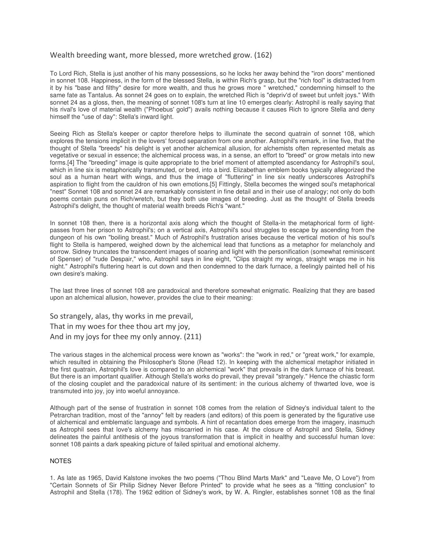## Wealth breeding want, more blessed, more wretched grow. (162)

To Lord Rich, Stella is just another of his many possessions, so he locks her away behind the "iron doors" mentioned in sonnet 108. Happiness, in the form of the blessed Stella, is within Rich's grasp, but the "rich fool" is distracted from it by his "base and filthy" desire for more wealth, and thus he grows more " wretched," condemning himself to the same fate as Tantalus. As sonnet 24 goes on to explain, the wretched Rich is "depriv'd of sweet but unfelt joys." With sonnet 24 as a gloss, then, the meaning of sonnet 108's turn at line 10 emerges clearly: Astrophil is really saying that his rival's love of material wealth ("Phoebus' gold") avails nothing because it causes Rich to ignore Stella and deny himself the "use of day": Stella's inward light.

Seeing Rich as Stella's keeper or captor therefore helps to illuminate the second quatrain of sonnet 108, which explores the tensions implicit in the lovers' forced separation from one another. Astrophil's remark, in line five, that the thought of Stella "breeds" his delight is yet another alchemical allusion, for alchemists often represented metals as vegetative or sexual in essence; the alchemical process was, in a sense, an effort to "breed" or grow metals into new forms.[4] The "breeding" image is quite appropriate to the brief moment of attempted ascendancy for Astrophil's soul, which in line six is metaphorically transmuted, or bred, into a bird. Elizabethan emblem books typically allegorized the soul as a human heart with wings, and thus the image of "fluttering" in line six neatly underscores Astrophil's aspiration to flight from the cauldron of his own emotions.[5] Fittingly, Stella becomes the winged soul's metaphorical "nest" Sonnet 108 and sonnet 24 are remarkably consistent in fine detail and in their use of analogy; not only do both poems contain puns on Rich/wretch, but they both use images of breeding. Just as the thought of Stella breeds Astrophil's delight, the thought of material wealth breeds Rich's "want."

In sonnet 108 then, there is a horizontal axis along which the thought of Stella-in the metaphorical form of lightpasses from her prison to Astrophil's; on a vertical axis, Astrophil's soul struggles to escape by ascending from the dungeon of his own "boiling breast." Much of Astrophil's frustration arises because the vertical motion of his soul's flight to Stella is hampered, weighed down by the alchemical lead that functions as a metaphor for melancholy and sorrow. Sidney truncates the transcendent images of soaring and light with the personification (somewhat reminiscent of Spenser) of "rude Despair," who, Astrophil says in line eight, "Clips straight my wings, straight wraps me in his night." Astrophil's fluttering heart is cut down and then condemned to the dark furnace, a feelingly painted hell of his own desire's making.

The last three lines of sonnet 108 are paradoxical and therefore somewhat enigmatic. Realizing that they are based upon an alchemical allusion, however, provides the clue to their meaning:

So strangely, alas, thy works in me prevail, That in my woes for thee thou art my joy, And in my joys for thee my only annoy. (211)

The various stages in the alchemical process were known as "works": the "work in red," or "great work," for example, which resulted in obtaining the Philosopher's Stone (Read 12). In keeping with the alchemical metaphor initiated in the first quatrain, Astrophil's love is compared to an alchemical "work" that prevails in the dark furnace of his breast. But there is an important qualifier. Although Stella's works do prevail, they prevail "strangely." Hence the chiastic form of the closing couplet and the paradoxical nature of its sentiment: in the curious alchemy of thwarted love, woe is transmuted into joy, joy into woeful annoyance.

Although part of the sense of frustration in sonnet 108 comes from the relation of Sidney's individual talent to the Petrarchan tradition, most of the "annoy" felt by readers (and editors) of this poem is generated by the figurative use of alchemical and emblematic language and symbols. A hint of recantation does emerge from the imagery, inasmuch as Astrophil sees that love's alchemy has miscarried in his case. At the closure of Astrophil and Stella, Sidney delineates the painful antithesis of the joyous transformation that is implicit in healthy and successful human love: sonnet 108 paints a dark speaking picture of failed spiritual and emotional alchemy.

#### NOTES

1. As late as 1965, David Kalstone invokes the two poems ("Thou Blind Marts Mark" and "Leave Me, O Love") from "Certain Sonnets of Sir Philip Sidney Never Before Printed" to provide what he sees as a "fitting conclusion" to Astrophil and Stella (178). The 1962 edition of Sidney's work, by W. A. Ringler, establishes sonnet 108 as the final